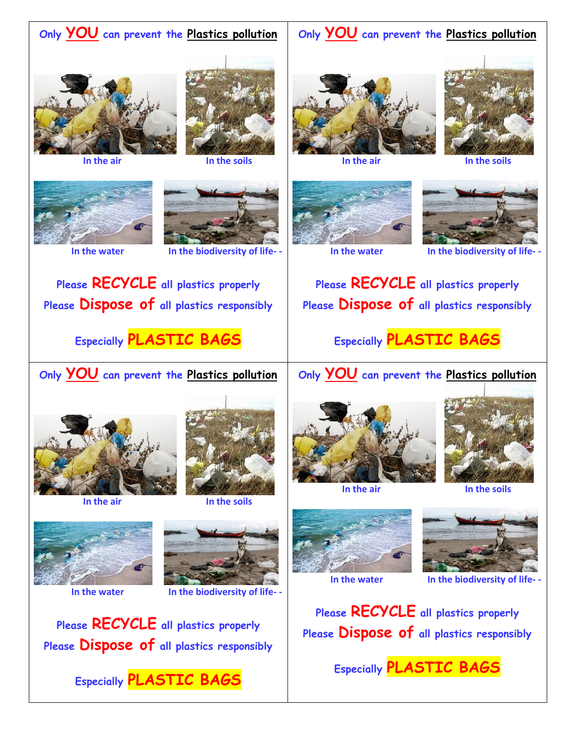